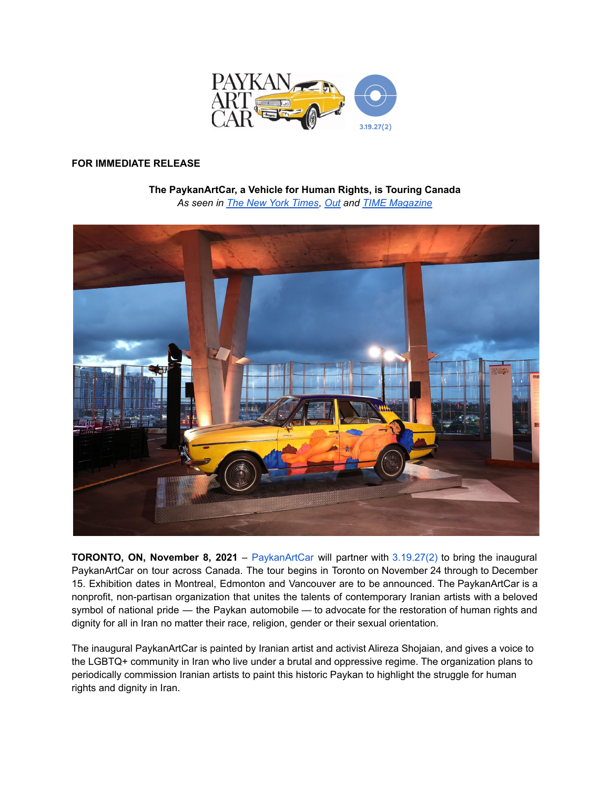

# **FOR IMMEDIATE RELEASE**

### **The PaykanArtCar, a Vehicle for Human Rights, is Touring Canada** *As seen in The New York [Times](https://www.nytimes.com/2021/11/01/business/art-car-iran.html), [Out](https://www.out.com/news/2021/10/15/dictators-car-transformed-symbol-lgbtq-iranians?fbclid=IwAR2t6_5GIN0cQBwRXh-ArivZ-qwu-xnbioxK5jSZejJ0RcQmxAYs1pSWa5c) and TIME [Magazine](https://paykanartcar.com/wp-content/uploads/Time-Magazine-ROLLING-OUT-A-NEW-VEHICLE-FOR-HUMAN-RIGHTS.pdf)*



**TORONTO, ON, November 8, 2021** – [PaykanArtCar](https://paykanartcar.com/) will partner with [3.19.27\(2\)](https://319272.org/) to bring the inaugural PaykanArtCar on tour across Canada. The tour begins in Toronto on November 24 through to December 15. Exhibition dates in Montreal, Edmonton and Vancouver are to be announced. The PaykanArtCar is a nonprofit, non-partisan organization that unites the talents of contemporary Iranian artists with a beloved symbol of national pride — the Paykan automobile — to advocate for the restoration of human rights and dignity for all in Iran no matter their race, religion, gender or their sexual orientation.

The inaugural PaykanArtCar is painted by Iranian artist and activist Alireza Shojaian, and gives a voice to the LGBTQ+ community in Iran who live under a brutal and oppressive regime. The organization plans to periodically commission Iranian artists to paint this historic Paykan to highlight the struggle for human rights and dignity in Iran.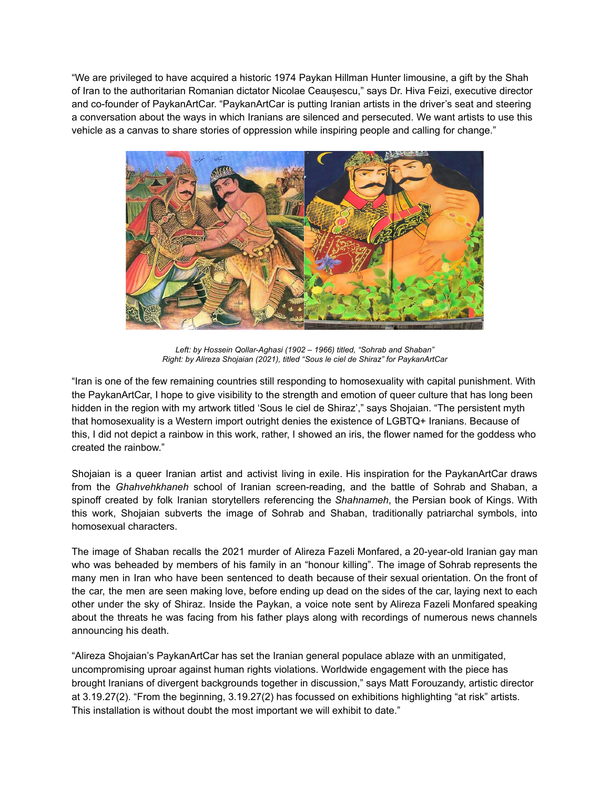"We are privileged to have acquired a historic 1974 Paykan Hillman Hunter limousine, a gift by the Shah of Iran to the authoritarian Romanian dictator Nicolae Ceaușescu," says Dr. Hiva Feizi, executive director and co-founder of PaykanArtCar. "PaykanArtCar is putting Iranian artists in the driver's seat and steering a conversation about the ways in which Iranians are silenced and persecuted. We want artists to use this vehicle as a canvas to share stories of oppression while inspiring people and calling for change."



*Left: by Hossein Qollar-Aghasi (1902 – 1966) titled, "Sohrab and Shaban" Right: by Alireza Shojaian (2021), titled "Sous le ciel de Shiraz" for PaykanArtCar*

"Iran is one of the few remaining countries still responding to homosexuality with capital punishment. With the PaykanArtCar, I hope to give visibility to the strength and emotion of queer culture that has long been hidden in the region with my artwork titled 'Sous le ciel de Shiraz'," says Shojaian. "The persistent myth that homosexuality is a Western import outright denies the existence of LGBTQ+ Iranians. Because of this, I did not depict a rainbow in this work, rather, I showed an iris, the flower named for the goddess who created the rainbow."

Shojaian is a queer Iranian artist and activist living in exile. His inspiration for the PaykanArtCar draws from the *Ghahvehkhaneh* school of Iranian screen-reading, and the battle of Sohrab and Shaban, a spinoff created by folk Iranian storytellers referencing the *Shahnameh*, the Persian book of Kings. With this work, Shojaian subverts the image of Sohrab and Shaban, traditionally patriarchal symbols, into homosexual characters.

The image of Shaban recalls the 2021 murder of Alireza Fazeli Monfared, a 20-year-old Iranian gay man who was beheaded by members of his family in an "honour killing". The image of Sohrab represents the many men in Iran who have been sentenced to death because of their sexual orientation. On the front of the car, the men are seen making love, before ending up dead on the sides of the car, laying next to each other under the sky of Shiraz. Inside the Paykan, a voice note sent by Alireza Fazeli Monfared speaking about the threats he was facing from his father plays along with recordings of numerous news channels announcing his death.

"Alireza Shojaian's PaykanArtCar has set the Iranian general populace ablaze with an unmitigated, uncompromising uproar against human rights violations. Worldwide engagement with the piece has brought Iranians of divergent backgrounds together in discussion," says Matt Forouzandy, artistic director at 3.19.27(2). "From the beginning, 3.19.27(2) has focussed on exhibitions highlighting "at risk" artists. This installation is without doubt the most important we will exhibit to date."